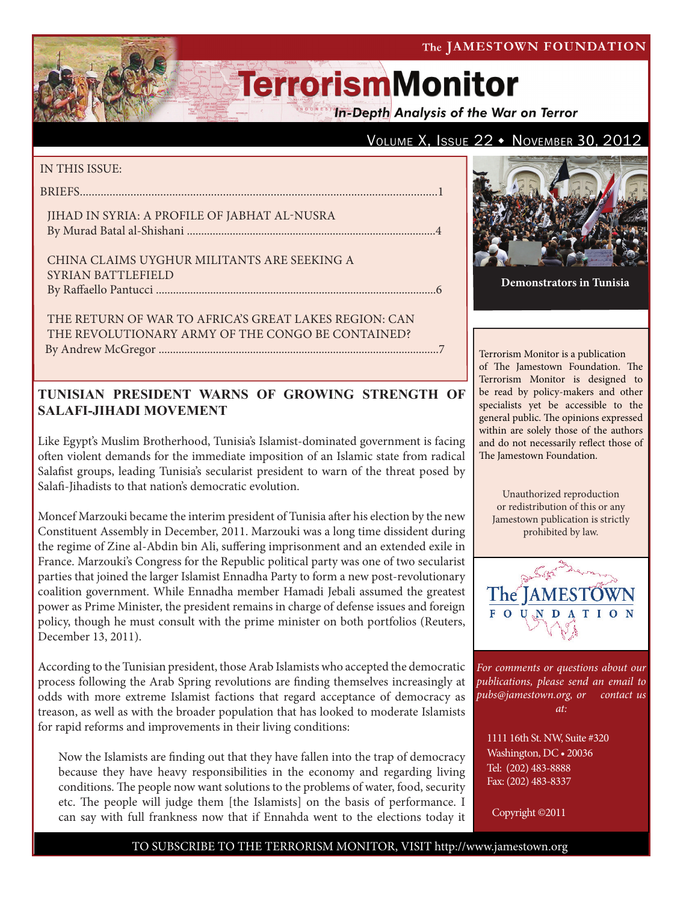#### The JAMESTOWN FOUNDATION

# **TerrorismMonitor**

**In-Depth Analysis of the War on Terror** 

## VOLUME X, ISSUE  $22 \cdot$  November 30, 2012

#### IN THIS ISSUE:

briefs........................................................................................................................1

Jihad in Syria: A Profile of Jabhat al-Nusra By Murad Batal al-Shishani .......................................................................................4

China Claims Uyghur Militants Are Seeking a SYRIAN BATTLEFIELD by Raffaello Pantucci ..................................................................................................6

The Return of War to Africa's Great Lakes Region: Can the Revolutionary Army of the Congo Be Contained? By Andrew McGregor ..................................................................................................7

## **TUNISIAN PRESIDENT WARNS OF GROWING STRENGTH OF SALAFI-JIHADI MOVEMENT**

Like Egypt's Muslim Brotherhood, Tunisia's Islamist-dominated government is facing often violent demands for the immediate imposition of an Islamic state from radical Salafist groups, leading Tunisia's secularist president to warn of the threat posed by Salafi-Jihadists to that nation's democratic evolution.

Moncef Marzouki became the interim president of Tunisia after his election by the new Constituent Assembly in December, 2011. Marzouki was a long time dissident during the regime of Zine al-Abdin bin Ali, suffering imprisonment and an extended exile in France. Marzouki's Congress for the Republic political party was one of two secularist parties that joined the larger Islamist Ennadha Party to form a new post-revolutionary coalition government. While Ennadha member Hamadi Jebali assumed the greatest power as Prime Minister, the president remains in charge of defense issues and foreign policy, though he must consult with the prime minister on both portfolios (Reuters, December 13, 2011).

According to the Tunisian president, those Arab Islamists who accepted the democratic process following the Arab Spring revolutions are finding themselves increasingly at odds with more extreme Islamist factions that regard acceptance of democracy as treason, as well as with the broader population that has looked to moderate Islamists for rapid reforms and improvements in their living conditions:

Now the Islamists are finding out that they have fallen into the trap of democracy because they have heavy responsibilities in the economy and regarding living conditions. The people now want solutions to the problems of water, food, security etc. The people will judge them [the Islamists] on the basis of performance. I can say with full frankness now that if Ennahda went to the elections today it



**Demonstrators in Tunisia**

Terrorism Monitor is a publication of The Jamestown Foundation. The Terrorism Monitor is designed to be read by policy-makers and other specialists yet be accessible to the general public. The opinions expressed within are solely those of the authors and do not necessarily reflect those of The Jamestown Foundation.

Unauthorized reproduction or redistribution of this or any Jamestown publication is strictly prohibited by law.



*For comments or questions about our publications, please send an email to pubs@jamestown.org, or contact us at:* 

1111 16th St. NW, Suite #320 Washington, DC • 20036 Tel: (202) 483-8888 Fax: (202) 483-8337

Copyright ©2011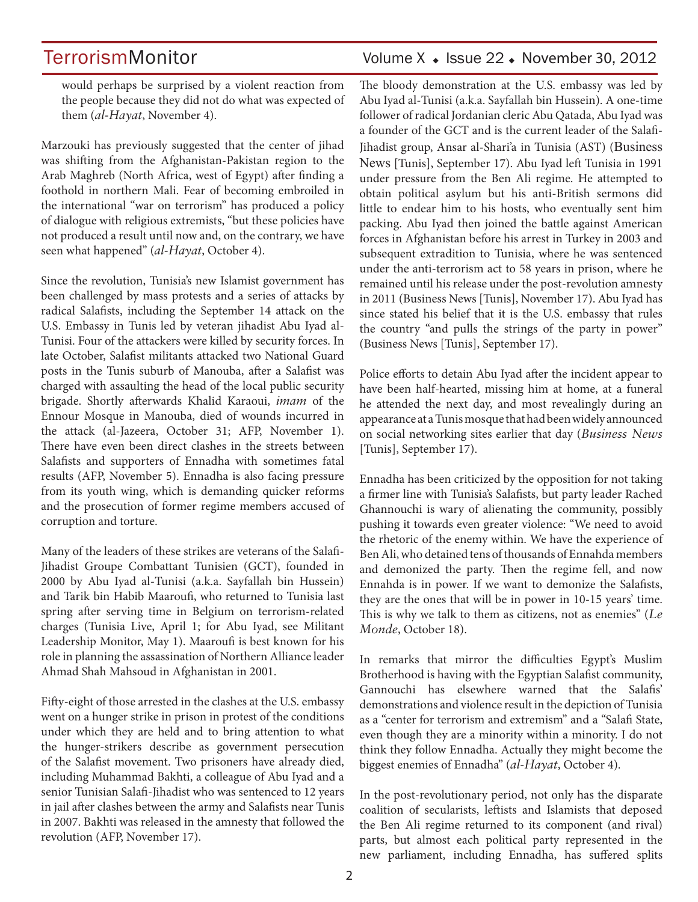## TerrorismMonitor Volume X + Issue 22 + November 30, 2012

would perhaps be surprised by a violent reaction from the people because they did not do what was expected of them (*al-Hayat*, November 4).

Marzouki has previously suggested that the center of jihad was shifting from the Afghanistan-Pakistan region to the Arab Maghreb (North Africa, west of Egypt) after finding a foothold in northern Mali. Fear of becoming embroiled in the international "war on terrorism" has produced a policy of dialogue with religious extremists, "but these policies have not produced a result until now and, on the contrary, we have seen what happened" (*al-Hayat*, October 4).

Since the revolution, Tunisia's new Islamist government has been challenged by mass protests and a series of attacks by radical Salafists, including the September 14 attack on the U.S. Embassy in Tunis led by veteran jihadist Abu Iyad al-Tunisi. Four of the attackers were killed by security forces. In late October, Salafist militants attacked two National Guard posts in the Tunis suburb of Manouba, after a Salafist was charged with assaulting the head of the local public security brigade. Shortly afterwards Khalid Karaoui, *imam* of the Ennour Mosque in Manouba, died of wounds incurred in the attack (al-Jazeera, October 31; AFP, November 1). There have even been direct clashes in the streets between Salafists and supporters of Ennadha with sometimes fatal results (AFP, November 5). Ennadha is also facing pressure from its youth wing, which is demanding quicker reforms and the prosecution of former regime members accused of corruption and torture.

Many of the leaders of these strikes are veterans of the Salafi-Jihadist Groupe Combattant Tunisien (GCT), founded in 2000 by Abu Iyad al-Tunisi (a.k.a. Sayfallah bin Hussein) and Tarik bin Habib Maaroufi, who returned to Tunisia last spring after serving time in Belgium on terrorism-related charges (Tunisia Live, April 1; for Abu Iyad, see Militant Leadership Monitor, May 1). Maaroufi is best known for his role in planning the assassination of Northern Alliance leader Ahmad Shah Mahsoud in Afghanistan in 2001.

Fifty-eight of those arrested in the clashes at the U.S. embassy went on a hunger strike in prison in protest of the conditions under which they are held and to bring attention to what the hunger-strikers describe as government persecution of the Salafist movement. Two prisoners have already died, including Muhammad Bakhti, a colleague of Abu Iyad and a senior Tunisian Salafi-Jihadist who was sentenced to 12 years in jail after clashes between the army and Salafists near Tunis in 2007. Bakhti was released in the amnesty that followed the revolution (AFP, November 17).

The bloody demonstration at the U.S. embassy was led by Abu Iyad al-Tunisi (a.k.a. Sayfallah bin Hussein). A one-time follower of radical Jordanian cleric Abu Qatada, Abu Iyad was a founder of the GCT and is the current leader of the Salafi-Jihadist group, Ansar al-Shari'a in Tunisia (AST) (Business News [Tunis], September 17). Abu Iyad left Tunisia in 1991 under pressure from the Ben Ali regime. He attempted to obtain political asylum but his anti-British sermons did little to endear him to his hosts, who eventually sent him packing. Abu Iyad then joined the battle against American forces in Afghanistan before his arrest in Turkey in 2003 and subsequent extradition to Tunisia, where he was sentenced under the anti-terrorism act to 58 years in prison, where he remained until his release under the post-revolution amnesty in 2011 (Business News [Tunis], November 17). Abu Iyad has since stated his belief that it is the U.S. embassy that rules the country "and pulls the strings of the party in power" (Business News [Tunis], September 17).

Police efforts to detain Abu Iyad after the incident appear to have been half-hearted, missing him at home, at a funeral he attended the next day, and most revealingly during an appearance at a Tunis mosque that had been widely announced on social networking sites earlier that day (*Business News* [Tunis], September 17).

Ennadha has been criticized by the opposition for not taking a firmer line with Tunisia's Salafists, but party leader Rached Ghannouchi is wary of alienating the community, possibly pushing it towards even greater violence: "We need to avoid the rhetoric of the enemy within. We have the experience of Ben Ali, who detained tens of thousands of Ennahda members and demonized the party. Then the regime fell, and now Ennahda is in power. If we want to demonize the Salafists, they are the ones that will be in power in 10-15 years' time. This is why we talk to them as citizens, not as enemies" (*Le Monde*, October 18).

In remarks that mirror the difficulties Egypt's Muslim Brotherhood is having with the Egyptian Salafist community, Gannouchi has elsewhere warned that the Salafis' demonstrations and violence result in the depiction of Tunisia as a "center for terrorism and extremism" and a "Salafi State, even though they are a minority within a minority. I do not think they follow Ennadha. Actually they might become the biggest enemies of Ennadha" (*al-Hayat*, October 4).

In the post-revolutionary period, not only has the disparate coalition of secularists, leftists and Islamists that deposed the Ben Ali regime returned to its component (and rival) parts, but almost each political party represented in the new parliament, including Ennadha, has suffered splits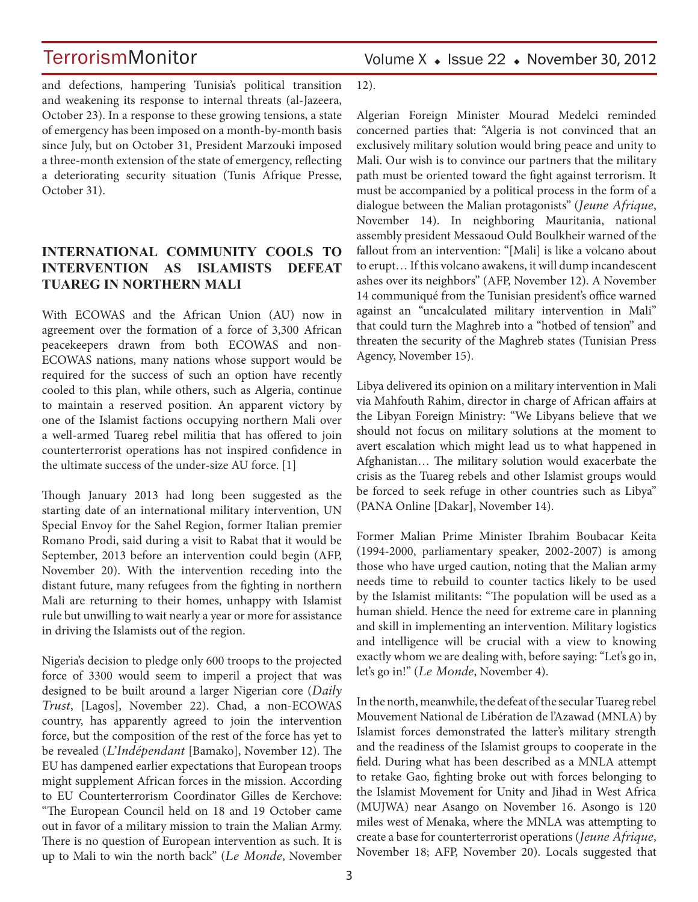Volume  $X \triangleleft$  Issue 22  $\triangleleft$  November 30, 2012

and defections, hampering Tunisia's political transition and weakening its response to internal threats (al-Jazeera, October 23). In a response to these growing tensions, a state of emergency has been imposed on a month-by-month basis since July, but on October 31, President Marzouki imposed a three-month extension of the state of emergency, reflecting a deteriorating security situation (Tunis Afrique Presse, October 31).

### **INTERNATIONAL COMMUNITY COOLS TO INTERVENTION AS ISLAMISTS DEFEAT TUAREG IN NORTHERN MALI**

With ECOWAS and the African Union (AU) now in agreement over the formation of a force of 3,300 African peacekeepers drawn from both ECOWAS and non-ECOWAS nations, many nations whose support would be required for the success of such an option have recently cooled to this plan, while others, such as Algeria, continue to maintain a reserved position. An apparent victory by one of the Islamist factions occupying northern Mali over a well-armed Tuareg rebel militia that has offered to join counterterrorist operations has not inspired confidence in the ultimate success of the under-size AU force. [1]

Though January 2013 had long been suggested as the starting date of an international military intervention, UN Special Envoy for the Sahel Region, former Italian premier Romano Prodi, said during a visit to Rabat that it would be September, 2013 before an intervention could begin (AFP, November 20). With the intervention receding into the distant future, many refugees from the fighting in northern Mali are returning to their homes, unhappy with Islamist rule but unwilling to wait nearly a year or more for assistance in driving the Islamists out of the region.

Nigeria's decision to pledge only 600 troops to the projected force of 3300 would seem to imperil a project that was designed to be built around a larger Nigerian core (*Daily Trust*, [Lagos], November 22). Chad, a non-ECOWAS country, has apparently agreed to join the intervention force, but the composition of the rest of the force has yet to be revealed (*L'Indépendant* [Bamako], November 12). The EU has dampened earlier expectations that European troops might supplement African forces in the mission. According to EU Counterterrorism Coordinator Gilles de Kerchove: "The European Council held on 18 and 19 October came out in favor of a military mission to train the Malian Army. There is no question of European intervention as such. It is up to Mali to win the north back" (*Le Monde*, November

12).

Algerian Foreign Minister Mourad Medelci reminded concerned parties that: "Algeria is not convinced that an exclusively military solution would bring peace and unity to Mali. Our wish is to convince our partners that the military path must be oriented toward the fight against terrorism. It must be accompanied by a political process in the form of a dialogue between the Malian protagonists" (*Jeune Afrique*, November 14). In neighboring Mauritania, national assembly president Messaoud Ould Boulkheir warned of the fallout from an intervention: "[Mali] is like a volcano about to erupt… If this volcano awakens, it will dump incandescent ashes over its neighbors" (AFP, November 12). A November 14 communiqué from the Tunisian president's office warned against an "uncalculated military intervention in Mali" that could turn the Maghreb into a "hotbed of tension" and threaten the security of the Maghreb states (Tunisian Press Agency, November 15).

Libya delivered its opinion on a military intervention in Mali via Mahfouth Rahim, director in charge of African affairs at the Libyan Foreign Ministry: "We Libyans believe that we should not focus on military solutions at the moment to avert escalation which might lead us to what happened in Afghanistan… The military solution would exacerbate the crisis as the Tuareg rebels and other Islamist groups would be forced to seek refuge in other countries such as Libya" (PANA Online [Dakar], November 14).

Former Malian Prime Minister Ibrahim Boubacar Keita (1994-2000, parliamentary speaker, 2002-2007) is among those who have urged caution, noting that the Malian army needs time to rebuild to counter tactics likely to be used by the Islamist militants: "The population will be used as a human shield. Hence the need for extreme care in planning and skill in implementing an intervention. Military logistics and intelligence will be crucial with a view to knowing exactly whom we are dealing with, before saying: "Let's go in, let's go in!" (*Le Monde*, November 4).

In the north, meanwhile, the defeat of the secular Tuareg rebel Mouvement National de Libération de l'Azawad (MNLA) by Islamist forces demonstrated the latter's military strength and the readiness of the Islamist groups to cooperate in the field. During what has been described as a MNLA attempt to retake Gao, fighting broke out with forces belonging to the Islamist Movement for Unity and Jihad in West Africa (MUJWA) near Asango on November 16. Asongo is 120 miles west of Menaka, where the MNLA was attempting to create a base for counterterrorist operations (*Jeune Afrique*, November 18; AFP, November 20). Locals suggested that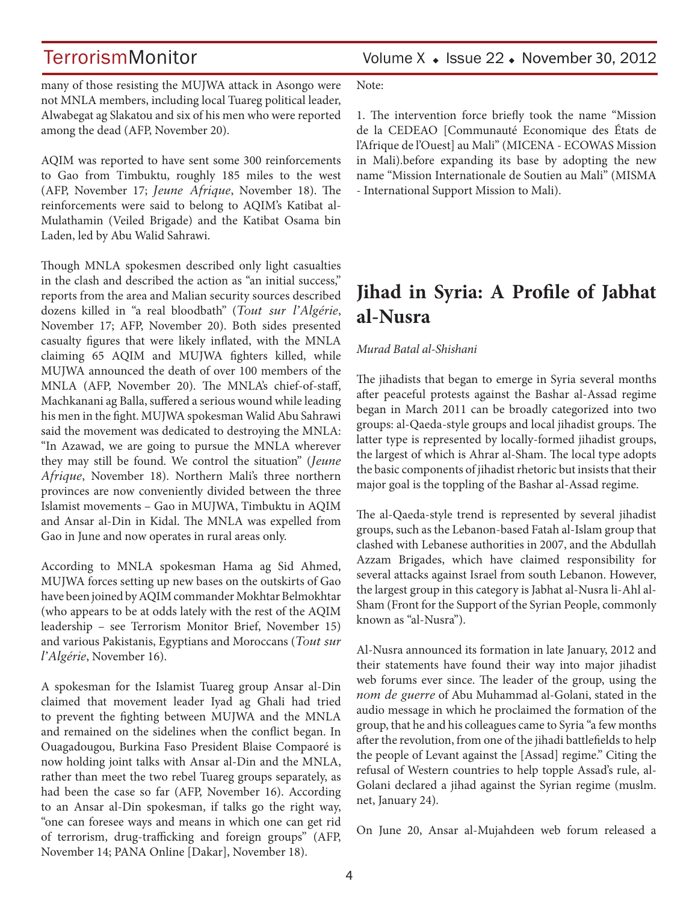many of those resisting the MUJWA attack in Asongo were not MNLA members, including local Tuareg political leader, Alwabegat ag Slakatou and six of his men who were reported among the dead (AFP, November 20).

AQIM was reported to have sent some 300 reinforcements to Gao from Timbuktu, roughly 185 miles to the west (AFP, November 17; *Jeune Afrique*, November 18). The reinforcements were said to belong to AQIM's Katibat al-Mulathamin (Veiled Brigade) and the Katibat Osama bin Laden, led by Abu Walid Sahrawi.

Though MNLA spokesmen described only light casualties in the clash and described the action as "an initial success," reports from the area and Malian security sources described dozens killed in "a real bloodbath" (*Tout sur l'Algérie*, November 17; AFP, November 20). Both sides presented casualty figures that were likely inflated, with the MNLA claiming 65 AQIM and MUJWA fighters killed, while MUJWA announced the death of over 100 members of the MNLA (AFP, November 20). The MNLA's chief-of-staff, Machkanani ag Balla, suffered a serious wound while leading his men in the fight. MUJWA spokesman Walid Abu Sahrawi said the movement was dedicated to destroying the MNLA: "In Azawad, we are going to pursue the MNLA wherever they may still be found. We control the situation" (*Jeune Afrique*, November 18). Northern Mali's three northern provinces are now conveniently divided between the three Islamist movements – Gao in MUJWA, Timbuktu in AQIM and Ansar al-Din in Kidal. The MNLA was expelled from Gao in June and now operates in rural areas only.

According to MNLA spokesman Hama ag Sid Ahmed, MUJWA forces setting up new bases on the outskirts of Gao have been joined by AQIM commander Mokhtar Belmokhtar (who appears to be at odds lately with the rest of the AQIM leadership – see Terrorism Monitor Brief, November 15) and various Pakistanis, Egyptians and Moroccans (*Tout sur l'Algérie*, November 16).

A spokesman for the Islamist Tuareg group Ansar al-Din claimed that movement leader Iyad ag Ghali had tried to prevent the fighting between MUJWA and the MNLA and remained on the sidelines when the conflict began. In Ouagadougou, Burkina Faso President Blaise Compaoré is now holding joint talks with Ansar al-Din and the MNLA, rather than meet the two rebel Tuareg groups separately, as had been the case so far (AFP, November 16). According to an Ansar al-Din spokesman, if talks go the right way, "one can foresee ways and means in which one can get rid of terrorism, drug-trafficking and foreign groups" (AFP, November 14; PANA Online [Dakar], November 18).

Note:

1. The intervention force briefly took the name "Mission de la CEDEAO [Communauté Economique des États de l'Afrique de l'Ouest] au Mali" (MICENA - ECOWAS Mission in Mali).before expanding its base by adopting the new name "Mission Internationale de Soutien au Mali" (MISMA - International Support Mission to Mali).

## **Jihad in Syria: A Profile of Jabhat al-Nusra**

### *Murad Batal al-Shishani*

The jihadists that began to emerge in Syria several months after peaceful protests against the Bashar al-Assad regime began in March 2011 can be broadly categorized into two groups: al-Qaeda-style groups and local jihadist groups. The latter type is represented by locally-formed jihadist groups, the largest of which is Ahrar al-Sham. The local type adopts the basic components of jihadist rhetoric but insists that their major goal is the toppling of the Bashar al-Assad regime.

The al-Qaeda-style trend is represented by several jihadist groups, such as the Lebanon-based Fatah al-Islam group that clashed with Lebanese authorities in 2007, and the Abdullah Azzam Brigades, which have claimed responsibility for several attacks against Israel from south Lebanon. However, the largest group in this category is Jabhat al-Nusra li-Ahl al-Sham (Front for the Support of the Syrian People, commonly known as "al-Nusra").

Al-Nusra announced its formation in late January, 2012 and their statements have found their way into major jihadist web forums ever since. The leader of the group, using the *nom de guerre* of Abu Muhammad al-Golani, stated in the audio message in which he proclaimed the formation of the group, that he and his colleagues came to Syria "a few months after the revolution, from one of the jihadi battlefields to help the people of Levant against the [Assad] regime." Citing the refusal of Western countries to help topple Assad's rule, al-Golani declared a jihad against the Syrian regime (muslm. net, January 24).

On June 20, Ansar al-Mujahdeen web forum released a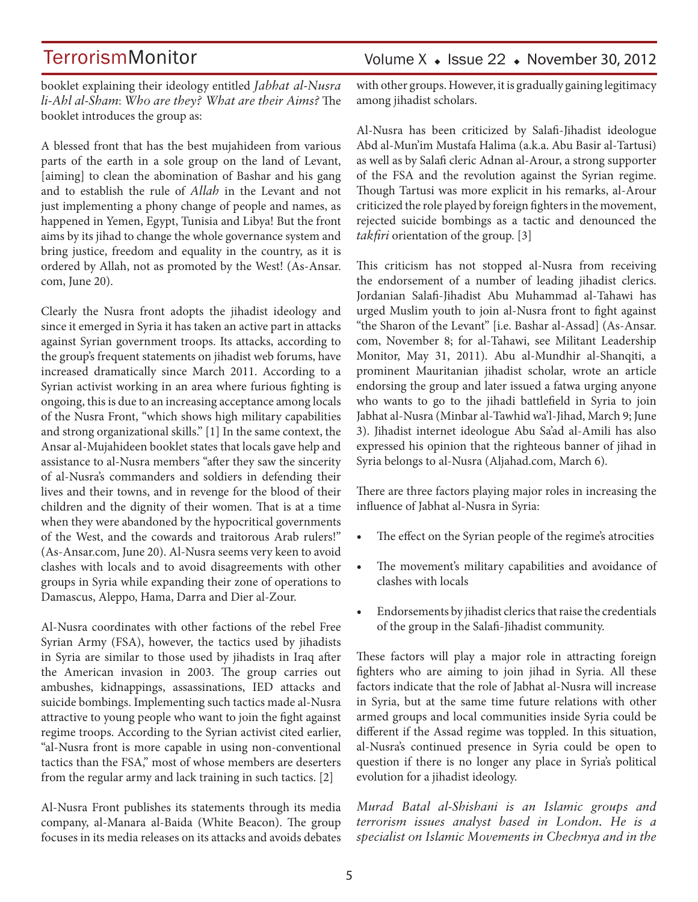booklet explaining their ideology entitled *Jabhat al-Nusra li-Ahl al-Sham*: *Who are they? What are their Aims?* The booklet introduces the group as:

A blessed front that has the best mujahideen from various parts of the earth in a sole group on the land of Levant, [aiming] to clean the abomination of Bashar and his gang and to establish the rule of *Allah* in the Levant and not just implementing a phony change of people and names, as happened in Yemen, Egypt, Tunisia and Libya! But the front aims by its jihad to change the whole governance system and bring justice, freedom and equality in the country, as it is ordered by Allah, not as promoted by the West! (As-Ansar. com, June 20).

Clearly the Nusra front adopts the jihadist ideology and since it emerged in Syria it has taken an active part in attacks against Syrian government troops. Its attacks, according to the group's frequent statements on jihadist web forums, have increased dramatically since March 2011. According to a Syrian activist working in an area where furious fighting is ongoing, this is due to an increasing acceptance among locals of the Nusra Front, "which shows high military capabilities and strong organizational skills." [1] In the same context, the Ansar al-Mujahideen booklet states that locals gave help and assistance to al-Nusra members "after they saw the sincerity of al-Nusra's commanders and soldiers in defending their lives and their towns, and in revenge for the blood of their children and the dignity of their women. That is at a time when they were abandoned by the hypocritical governments of the West, and the cowards and traitorous Arab rulers!" (As-Ansar.com, June 20). Al-Nusra seems very keen to avoid clashes with locals and to avoid disagreements with other groups in Syria while expanding their zone of operations to Damascus, Aleppo, Hama, Darra and Dier al-Zour.

Al-Nusra coordinates with other factions of the rebel Free Syrian Army (FSA), however, the tactics used by jihadists in Syria are similar to those used by jihadists in Iraq after the American invasion in 2003. The group carries out ambushes, kidnappings, assassinations, IED attacks and suicide bombings. Implementing such tactics made al-Nusra attractive to young people who want to join the fight against regime troops. According to the Syrian activist cited earlier, "al-Nusra front is more capable in using non-conventional tactics than the FSA," most of whose members are deserters from the regular army and lack training in such tactics. [2]

Al-Nusra Front publishes its statements through its media company, al-Manara al-Baida (White Beacon). The group focuses in its media releases on its attacks and avoids debates with other groups. However, it is gradually gaining legitimacy among jihadist scholars.

Al-Nusra has been criticized by Salafi-Jihadist ideologue Abd al-Mun'im Mustafa Halima (a.k.a. Abu Basir al-Tartusi) as well as by Salafi cleric Adnan al-Arour, a strong supporter of the FSA and the revolution against the Syrian regime. Though Tartusi was more explicit in his remarks, al-Arour criticized the role played by foreign fighters in the movement, rejected suicide bombings as a tactic and denounced the *takfiri* orientation of the group. [3]

This criticism has not stopped al-Nusra from receiving the endorsement of a number of leading jihadist clerics. Jordanian Salafi-Jihadist Abu Muhammad al-Tahawi has urged Muslim youth to join al-Nusra front to fight against "the Sharon of the Levant" [i.e. Bashar al-Assad] (As-Ansar. com, November 8; for al-Tahawi, see Militant Leadership Monitor, May 31, 2011). Abu al-Mundhir al-Shanqiti, a prominent Mauritanian jihadist scholar, wrote an article endorsing the group and later issued a fatwa urging anyone who wants to go to the jihadi battlefield in Syria to join Jabhat al-Nusra (Minbar al-Tawhid wa'l-Jihad, March 9; June 3). Jihadist internet ideologue Abu Sa'ad al-Amili has also expressed his opinion that the righteous banner of jihad in Syria belongs to al-Nusra (Aljahad.com, March 6).

There are three factors playing major roles in increasing the influence of Jabhat al-Nusra in Syria:

- The effect on the Syrian people of the regime's atrocities
- The movement's military capabilities and avoidance of clashes with locals
- Endorsements by jihadist clerics that raise the credentials of the group in the Salafi-Jihadist community.

These factors will play a major role in attracting foreign fighters who are aiming to join jihad in Syria. All these factors indicate that the role of Jabhat al-Nusra will increase in Syria, but at the same time future relations with other armed groups and local communities inside Syria could be different if the Assad regime was toppled. In this situation, al-Nusra's continued presence in Syria could be open to question if there is no longer any place in Syria's political evolution for a jihadist ideology.

*Murad Batal al-Shishani is an Islamic groups and terrorism issues analyst based in London. He is a specialist on Islamic Movements in Chechnya and in the*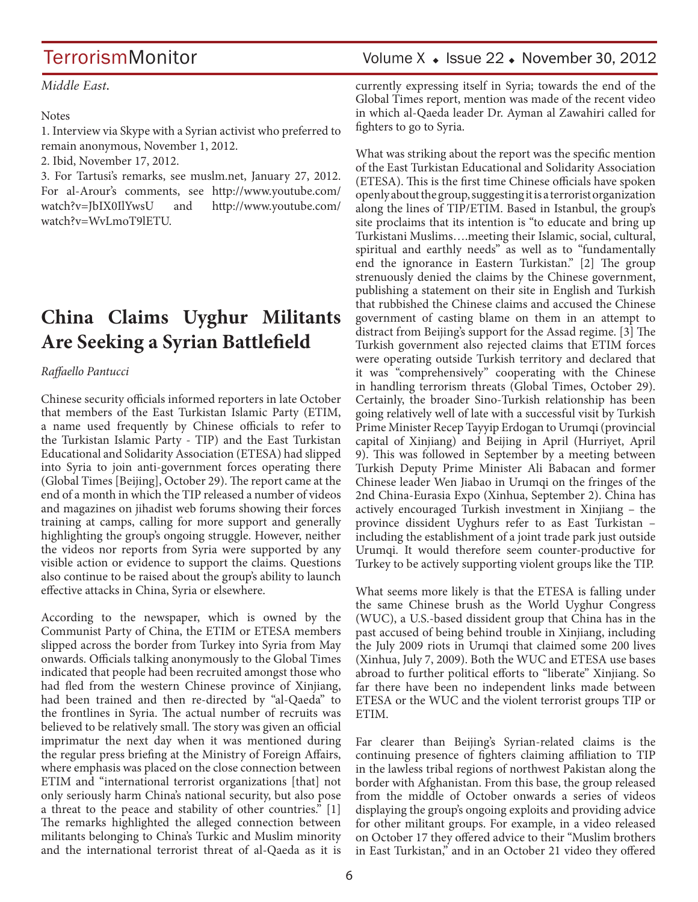*Middle East.*

#### Notes

1. Interview via Skype with a Syrian activist who preferred to remain anonymous, November 1, 2012.

2. Ibid, November 17, 2012.

3. For Tartusi's remarks, see muslm.net, January 27, 2012. For al-Arour's comments, see http://www.youtube.com/ watch?v=JbIX0IlYwsU and http://www.youtube.com/ watch?v=WvLmoT9lETU.

## **China Claims Uyghur Militants Are Seeking a Syrian Battlefield**

#### *Raffaello Pantucci*

Chinese security officials informed reporters in late October that members of the East Turkistan Islamic Party (ETIM, a name used frequently by Chinese officials to refer to the Turkistan Islamic Party - TIP) and the East Turkistan Educational and Solidarity Association (ETESA) had slipped into Syria to join anti-government forces operating there (Global Times [Beijing], October 29). The report came at the end of a month in which the TIP released a number of videos and magazines on jihadist web forums showing their forces training at camps, calling for more support and generally highlighting the group's ongoing struggle. However, neither the videos nor reports from Syria were supported by any visible action or evidence to support the claims. Questions also continue to be raised about the group's ability to launch effective attacks in China, Syria or elsewhere.

According to the newspaper, which is owned by the Communist Party of China, the ETIM or ETESA members slipped across the border from Turkey into Syria from May onwards. Officials talking anonymously to the Global Times indicated that people had been recruited amongst those who had fled from the western Chinese province of Xinjiang, had been trained and then re-directed by "al-Qaeda" to the frontlines in Syria. The actual number of recruits was believed to be relatively small. The story was given an official imprimatur the next day when it was mentioned during the regular press briefing at the Ministry of Foreign Affairs, where emphasis was placed on the close connection between ETIM and "international terrorist organizations [that] not only seriously harm China's national security, but also pose a threat to the peace and stability of other countries." [1] The remarks highlighted the alleged connection between militants belonging to China's Turkic and Muslim minority and the international terrorist threat of al-Qaeda as it is

## TerrorismMonitor Volume X + Issue 22 + November 30, 2012

currently expressing itself in Syria; towards the end of the Global Times report, mention was made of the recent video in which al-Qaeda leader Dr. Ayman al Zawahiri called for fighters to go to Syria.

What was striking about the report was the specific mention of the East Turkistan Educational and Solidarity Association (ETESA). This is the first time Chinese officials have spoken openly about the group, suggesting it is a terrorist organization along the lines of TIP/ETIM. Based in Istanbul, the group's site proclaims that its intention is "to educate and bring up Turkistani Muslims….meeting their Islamic, social, cultural, spiritual and earthly needs" as well as to "fundamentally end the ignorance in Eastern Turkistan." [2] The group strenuously denied the claims by the Chinese government, publishing a statement on their site in English and Turkish that rubbished the Chinese claims and accused the Chinese government of casting blame on them in an attempt to distract from Beijing's support for the Assad regime. [3] The Turkish government also rejected claims that ETIM forces were operating outside Turkish territory and declared that it was "comprehensively" cooperating with the Chinese in handling terrorism threats (Global Times, October 29). Certainly, the broader Sino-Turkish relationship has been going relatively well of late with a successful visit by Turkish Prime Minister Recep Tayyip Erdogan to Urumqi (provincial capital of Xinjiang) and Beijing in April (Hurriyet, April 9). This was followed in September by a meeting between Turkish Deputy Prime Minister Ali Babacan and former Chinese leader Wen Jiabao in Urumqi on the fringes of the 2nd China-Eurasia Expo (Xinhua, September 2). China has actively encouraged Turkish investment in Xinjiang – the province dissident Uyghurs refer to as East Turkistan – including the establishment of a joint trade park just outside Urumqi. It would therefore seem counter-productive for Turkey to be actively supporting violent groups like the TIP.

What seems more likely is that the ETESA is falling under the same Chinese brush as the World Uyghur Congress (WUC), a U.S.-based dissident group that China has in the past accused of being behind trouble in Xinjiang, including the July 2009 riots in Urumqi that claimed some 200 lives (Xinhua, July 7, 2009). Both the WUC and ETESA use bases abroad to further political efforts to "liberate" Xinjiang. So far there have been no independent links made between ETESA or the WUC and the violent terrorist groups TIP or ETIM.

Far clearer than Beijing's Syrian-related claims is the continuing presence of fighters claiming affiliation to TIP in the lawless tribal regions of northwest Pakistan along the border with Afghanistan. From this base, the group released from the middle of October onwards a series of videos displaying the group's ongoing exploits and providing advice for other militant groups. For example, in a video released on October 17 they offered advice to their "Muslim brothers in East Turkistan," and in an October 21 video they offered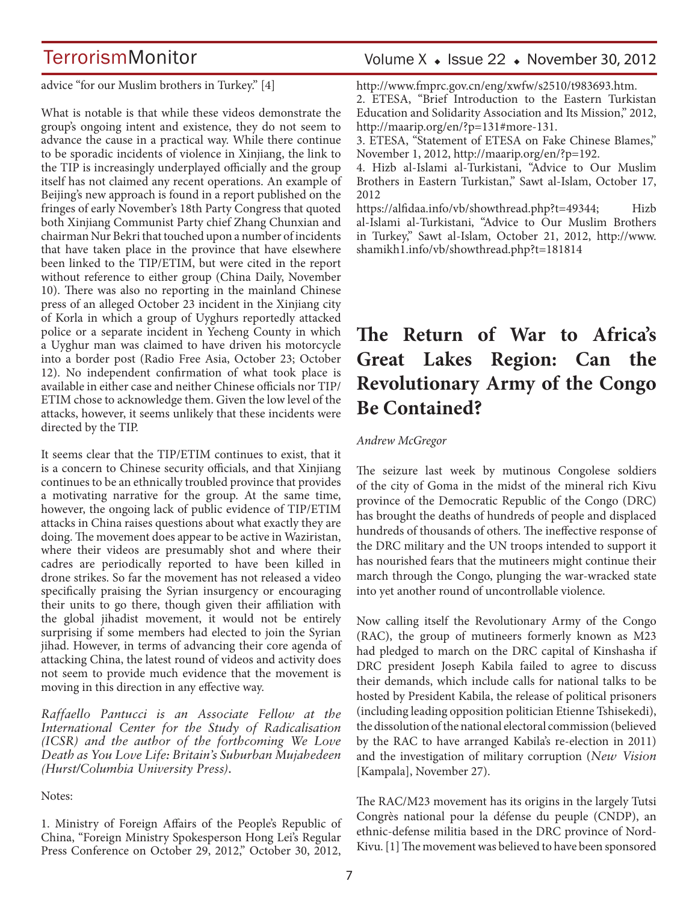advice "for our Muslim brothers in Turkey." [4]

What is notable is that while these videos demonstrate the group's ongoing intent and existence, they do not seem to advance the cause in a practical way. While there continue to be sporadic incidents of violence in Xinjiang, the link to the TIP is increasingly underplayed officially and the group itself has not claimed any recent operations. An example of Beijing's new approach is found in a report published on the fringes of early November's 18th Party Congress that quoted both Xinjiang Communist Party chief Zhang Chunxian and chairman Nur Bekri that touched upon a number of incidents that have taken place in the province that have elsewhere been linked to the TIP/ETIM, but were cited in the report without reference to either group (China Daily, November 10). There was also no reporting in the mainland Chinese press of an alleged October 23 incident in the Xinjiang city of Korla in which a group of Uyghurs reportedly attacked police or a separate incident in Yecheng County in which a Uyghur man was claimed to have driven his motorcycle into a border post (Radio Free Asia, October 23; October 12). No independent confirmation of what took place is available in either case and neither Chinese officials nor TIP/ ETIM chose to acknowledge them. Given the low level of the attacks, however, it seems unlikely that these incidents were directed by the TIP.

It seems clear that the TIP/ETIM continues to exist, that it is a concern to Chinese security officials, and that Xinjiang continues to be an ethnically troubled province that provides a motivating narrative for the group. At the same time, however, the ongoing lack of public evidence of TIP/ETIM attacks in China raises questions about what exactly they are doing. The movement does appear to be active in Waziristan, where their videos are presumably shot and where their cadres are periodically reported to have been killed in drone strikes. So far the movement has not released a video specifically praising the Syrian insurgency or encouraging their units to go there, though given their affiliation with the global jihadist movement, it would not be entirely surprising if some members had elected to join the Syrian jihad. However, in terms of advancing their core agenda of attacking China, the latest round of videos and activity does not seem to provide much evidence that the movement is moving in this direction in any effective way.

*Raffaello Pantucci is an Associate Fellow at the International Center for the Study of Radicalisation (ICSR) and the author of the forthcoming We Love Death as You Love Life: Britain's Suburban Mujahedeen (Hurst/Columbia University Press).*

#### Notes:

1. Ministry of Foreign Affairs of the People's Republic of China, "Foreign Ministry Spokesperson Hong Lei's Regular Press Conference on October 29, 2012," October 30, 2012,

## Volume  $X \triangleleft$  Issue 22  $\triangleleft$  November 30, 2012

http://www.fmprc.gov.cn/eng/xwfw/s2510/t983693.htm.

2. ETESA, "Brief Introduction to the Eastern Turkistan Education and Solidarity Association and Its Mission," 2012, http://maarip.org/en/?p=131#more-131.

3. ETESA, "Statement of ETESA on Fake Chinese Blames," November 1, 2012, http://maarip.org/en/?p=192.

4. Hizb al-Islami al-Turkistani, "Advice to Our Muslim Brothers in Eastern Turkistan," Sawt al-Islam, October 17, 2012

https://alfidaa.info/vb/showthread.php?t=49344; Hizb al-Islami al-Turkistani, "Advice to Our Muslim Brothers in Turkey," Sawt al-Islam, October 21, 2012, http://www. shamikh1.info/vb/showthread.php?t=181814

## **The Return of War to Africa's Great Lakes Region: Can the Revolutionary Army of the Congo Be Contained?**

#### *Andrew McGregor*

The seizure last week by mutinous Congolese soldiers of the city of Goma in the midst of the mineral rich Kivu province of the Democratic Republic of the Congo (DRC) has brought the deaths of hundreds of people and displaced hundreds of thousands of others. The ineffective response of the DRC military and the UN troops intended to support it has nourished fears that the mutineers might continue their march through the Congo, plunging the war-wracked state into yet another round of uncontrollable violence.

Now calling itself the Revolutionary Army of the Congo (RAC), the group of mutineers formerly known as M23 had pledged to march on the DRC capital of Kinshasha if DRC president Joseph Kabila failed to agree to discuss their demands, which include calls for national talks to be hosted by President Kabila, the release of political prisoners (including leading opposition politician Etienne Tshisekedi), the dissolution of the national electoral commission (believed by the RAC to have arranged Kabila's re-election in 2011) and the investigation of military corruption (*New Vision* [Kampala], November 27).

The RAC/M23 movement has its origins in the largely Tutsi Congrès national pour la défense du peuple (CNDP), an ethnic-defense militia based in the DRC province of Nord-Kivu. [1] The movement was believed to have been sponsored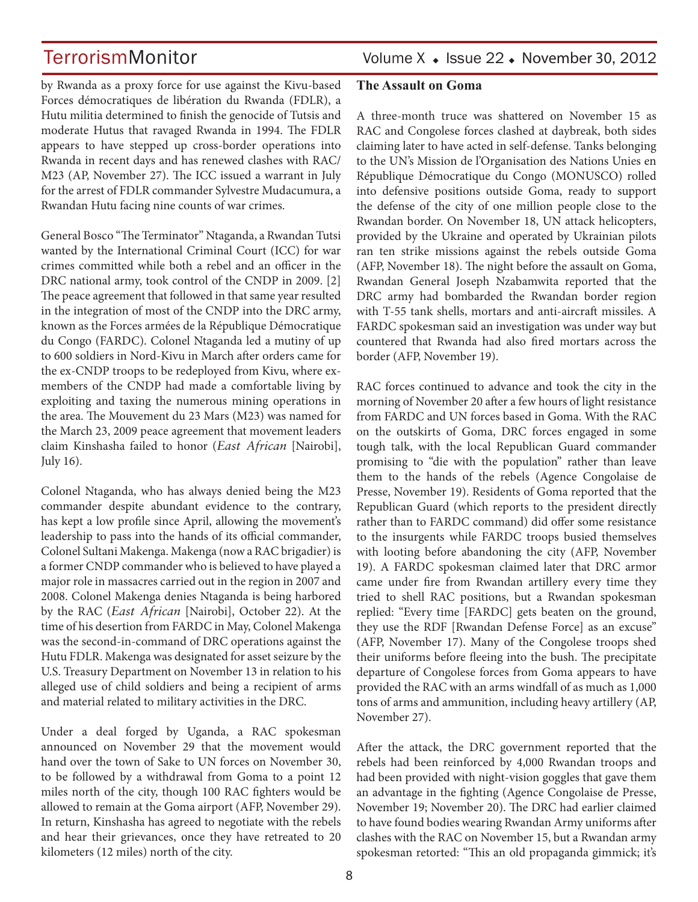TerrorismMonitor Volume X + Issue 22 + November 30, 2012

by Rwanda as a proxy force for use against the Kivu-based Forces démocratiques de libération du Rwanda (FDLR), a Hutu militia determined to finish the genocide of Tutsis and moderate Hutus that ravaged Rwanda in 1994. The FDLR appears to have stepped up cross-border operations into Rwanda in recent days and has renewed clashes with RAC/ M23 (AP, November 27). The ICC issued a warrant in July for the arrest of FDLR commander Sylvestre Mudacumura, a Rwandan Hutu facing nine counts of war crimes.

General Bosco "The Terminator" Ntaganda, a Rwandan Tutsi wanted by the International Criminal Court (ICC) for war crimes committed while both a rebel and an officer in the DRC national army, took control of the CNDP in 2009. [2] The peace agreement that followed in that same year resulted in the integration of most of the CNDP into the DRC army, known as the Forces armées de la République Démocratique du Congo (FARDC). Colonel Ntaganda led a mutiny of up to 600 soldiers in Nord-Kivu in March after orders came for the ex-CNDP troops to be redeployed from Kivu, where exmembers of the CNDP had made a comfortable living by exploiting and taxing the numerous mining operations in the area. The Mouvement du 23 Mars (M23) was named for the March 23, 2009 peace agreement that movement leaders claim Kinshasha failed to honor (*East African* [Nairobi], July 16).

Colonel Ntaganda, who has always denied being the M23 commander despite abundant evidence to the contrary, has kept a low profile since April, allowing the movement's leadership to pass into the hands of its official commander, Colonel Sultani Makenga. Makenga (now a RAC brigadier) is a former CNDP commander who is believed to have played a major role in massacres carried out in the region in 2007 and 2008. Colonel Makenga denies Ntaganda is being harbored by the RAC (*East African* [Nairobi], October 22). At the time of his desertion from FARDC in May, Colonel Makenga was the second-in-command of DRC operations against the Hutu FDLR. Makenga was designated for asset seizure by the U.S. Treasury Department on November 13 in relation to his alleged use of child soldiers and being a recipient of arms and material related to military activities in the DRC.

Under a deal forged by Uganda, a RAC spokesman announced on November 29 that the movement would hand over the town of Sake to UN forces on November 30, to be followed by a withdrawal from Goma to a point 12 miles north of the city, though 100 RAC fighters would be allowed to remain at the Goma airport (AFP, November 29). In return, Kinshasha has agreed to negotiate with the rebels and hear their grievances, once they have retreated to 20 kilometers (12 miles) north of the city.

### **The Assault on Goma**

A three-month truce was shattered on November 15 as RAC and Congolese forces clashed at daybreak, both sides claiming later to have acted in self-defense. Tanks belonging to the UN's Mission de l'Organisation des Nations Unies en République Démocratique du Congo (MONUSCO) rolled into defensive positions outside Goma, ready to support the defense of the city of one million people close to the Rwandan border. On November 18, UN attack helicopters, provided by the Ukraine and operated by Ukrainian pilots ran ten strike missions against the rebels outside Goma (AFP, November 18). The night before the assault on Goma, Rwandan General Joseph Nzabamwita reported that the DRC army had bombarded the Rwandan border region with T-55 tank shells, mortars and anti-aircraft missiles. A FARDC spokesman said an investigation was under way but countered that Rwanda had also fired mortars across the border (AFP, November 19).

RAC forces continued to advance and took the city in the morning of November 20 after a few hours of light resistance from FARDC and UN forces based in Goma. With the RAC on the outskirts of Goma, DRC forces engaged in some tough talk, with the local Republican Guard commander promising to "die with the population" rather than leave them to the hands of the rebels (Agence Congolaise de Presse, November 19). Residents of Goma reported that the Republican Guard (which reports to the president directly rather than to FARDC command) did offer some resistance to the insurgents while FARDC troops busied themselves with looting before abandoning the city (AFP, November 19). A FARDC spokesman claimed later that DRC armor came under fire from Rwandan artillery every time they tried to shell RAC positions, but a Rwandan spokesman replied: "Every time [FARDC] gets beaten on the ground, they use the RDF [Rwandan Defense Force] as an excuse" (AFP, November 17). Many of the Congolese troops shed their uniforms before fleeing into the bush. The precipitate departure of Congolese forces from Goma appears to have provided the RAC with an arms windfall of as much as 1,000 tons of arms and ammunition, including heavy artillery (AP, November 27).

After the attack, the DRC government reported that the rebels had been reinforced by 4,000 Rwandan troops and had been provided with night-vision goggles that gave them an advantage in the fighting (Agence Congolaise de Presse, November 19; November 20). The DRC had earlier claimed to have found bodies wearing Rwandan Army uniforms after clashes with the RAC on November 15, but a Rwandan army spokesman retorted: "This an old propaganda gimmick; it's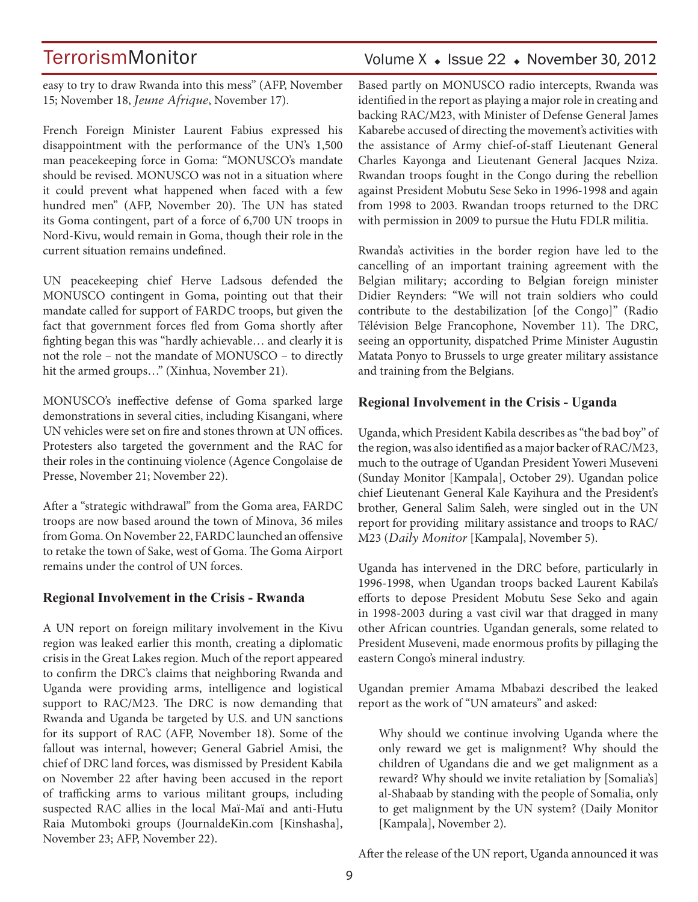easy to try to draw Rwanda into this mess" (AFP, November 15; November 18, *Jeune Afrique*, November 17).

French Foreign Minister Laurent Fabius expressed his disappointment with the performance of the UN's 1,500 man peacekeeping force in Goma: "MONUSCO's mandate should be revised. MONUSCO was not in a situation where it could prevent what happened when faced with a few hundred men" (AFP, November 20). The UN has stated its Goma contingent, part of a force of 6,700 UN troops in Nord-Kivu, would remain in Goma, though their role in the current situation remains undefined.

UN peacekeeping chief Herve Ladsous defended the MONUSCO contingent in Goma, pointing out that their mandate called for support of FARDC troops, but given the fact that government forces fled from Goma shortly after fighting began this was "hardly achievable… and clearly it is not the role – not the mandate of MONUSCO – to directly hit the armed groups…" (Xinhua, November 21).

MONUSCO's ineffective defense of Goma sparked large demonstrations in several cities, including Kisangani, where UN vehicles were set on fire and stones thrown at UN offices. Protesters also targeted the government and the RAC for their roles in the continuing violence (Agence Congolaise de Presse, November 21; November 22).

After a "strategic withdrawal" from the Goma area, FARDC troops are now based around the town of Minova, 36 miles from Goma. On November 22, FARDC launched an offensive to retake the town of Sake, west of Goma. The Goma Airport remains under the control of UN forces.

### **Regional Involvement in the Crisis - Rwanda**

A UN report on foreign military involvement in the Kivu region was leaked earlier this month, creating a diplomatic crisis in the Great Lakes region. Much of the report appeared to confirm the DRC's claims that neighboring Rwanda and Uganda were providing arms, intelligence and logistical support to RAC/M23. The DRC is now demanding that Rwanda and Uganda be targeted by U.S. and UN sanctions for its support of RAC (AFP, November 18). Some of the fallout was internal, however; General Gabriel Amisi, the chief of DRC land forces, was dismissed by President Kabila on November 22 after having been accused in the report of trafficking arms to various militant groups, including suspected RAC allies in the local Maï-Maï and anti-Hutu Raia Mutomboki groups (JournaldeKin.com [Kinshasha], November 23; AFP, November 22).

## Volume  $X \triangleleft$  Issue 22  $\triangleleft$  November 30, 2012

Based partly on MONUSCO radio intercepts, Rwanda was identified in the report as playing a major role in creating and backing RAC/M23, with Minister of Defense General James Kabarebe accused of directing the movement's activities with the assistance of Army chief-of-staff Lieutenant General Charles Kayonga and Lieutenant General Jacques Nziza. Rwandan troops fought in the Congo during the rebellion against President Mobutu Sese Seko in 1996-1998 and again from 1998 to 2003. Rwandan troops returned to the DRC with permission in 2009 to pursue the Hutu FDLR militia.

Rwanda's activities in the border region have led to the cancelling of an important training agreement with the Belgian military; according to Belgian foreign minister Didier Reynders: "We will not train soldiers who could contribute to the destabilization [of the Congo]" (Radio Télévision Belge Francophone, November 11). The DRC, seeing an opportunity, dispatched Prime Minister Augustin Matata Ponyo to Brussels to urge greater military assistance and training from the Belgians.

### **Regional Involvement in the Crisis - Uganda**

Uganda, which President Kabila describes as "the bad boy" of the region, was also identified as a major backer of RAC/M23, much to the outrage of Ugandan President Yoweri Museveni (Sunday Monitor [Kampala], October 29). Ugandan police chief Lieutenant General Kale Kayihura and the President's brother, General Salim Saleh, were singled out in the UN report for providing military assistance and troops to RAC/ M23 (*Daily Monitor* [Kampala], November 5).

Uganda has intervened in the DRC before, particularly in 1996-1998, when Ugandan troops backed Laurent Kabila's efforts to depose President Mobutu Sese Seko and again in 1998-2003 during a vast civil war that dragged in many other African countries. Ugandan generals, some related to President Museveni, made enormous profits by pillaging the eastern Congo's mineral industry.

Ugandan premier Amama Mbabazi described the leaked report as the work of "UN amateurs" and asked:

Why should we continue involving Uganda where the only reward we get is malignment? Why should the children of Ugandans die and we get malignment as a reward? Why should we invite retaliation by [Somalia's] al-Shabaab by standing with the people of Somalia, only to get malignment by the UN system? (Daily Monitor [Kampala], November 2).

After the release of the UN report, Uganda announced it was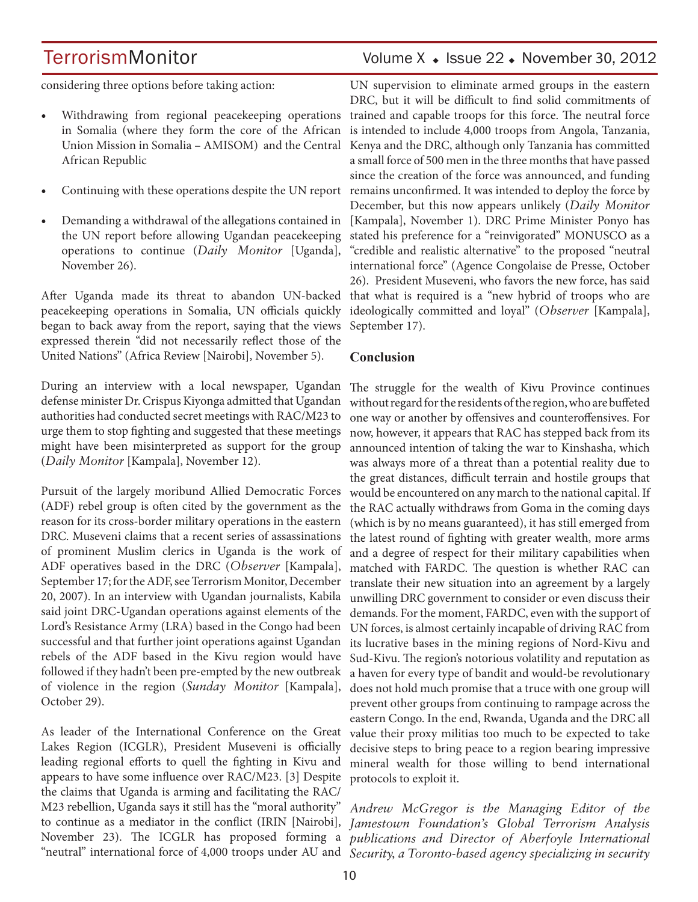## TerrorismMonitor Volume X + Issue 22 + November 30, 2012

considering three options before taking action:

- Withdrawing from regional peacekeeping operations in Somalia (where they form the core of the African Union Mission in Somalia – AMISOM) and the Central African Republic
- Continuing with these operations despite the UN report
- Demanding a withdrawal of the allegations contained in the UN report before allowing Ugandan peacekeeping operations to continue (*Daily Monitor* [Uganda], November 26).

After Uganda made its threat to abandon UN-backed peacekeeping operations in Somalia, UN officials quickly began to back away from the report, saying that the views expressed therein "did not necessarily reflect those of the United Nations" (Africa Review [Nairobi], November 5).

During an interview with a local newspaper, Ugandan The struggle for the wealth of Kivu Province continues defense minister Dr. Crispus Kiyonga admitted that Ugandan authorities had conducted secret meetings with RAC/M23 to urge them to stop fighting and suggested that these meetings might have been misinterpreted as support for the group (*Daily Monitor* [Kampala], November 12).

Pursuit of the largely moribund Allied Democratic Forces (ADF) rebel group is often cited by the government as the reason for its cross-border military operations in the eastern DRC. Museveni claims that a recent series of assassinations of prominent Muslim clerics in Uganda is the work of ADF operatives based in the DRC (*Observer* [Kampala], September 17; for the ADF, see Terrorism Monitor, December 20, 2007). In an interview with Ugandan journalists, Kabila said joint DRC-Ugandan operations against elements of the Lord's Resistance Army (LRA) based in the Congo had been successful and that further joint operations against Ugandan rebels of the ADF based in the Kivu region would have followed if they hadn't been pre-empted by the new outbreak of violence in the region (*Sunday Monitor* [Kampala], October 29).

As leader of the International Conference on the Great Lakes Region (ICGLR), President Museveni is officially leading regional efforts to quell the fighting in Kivu and appears to have some influence over RAC/M23. [3] Despite the claims that Uganda is arming and facilitating the RAC/ M23 rebellion, Uganda says it still has the "moral authority"

UN supervision to eliminate armed groups in the eastern DRC, but it will be difficult to find solid commitments of trained and capable troops for this force. The neutral force is intended to include 4,000 troops from Angola, Tanzania, Kenya and the DRC, although only Tanzania has committed a small force of 500 men in the three months that have passed since the creation of the force was announced, and funding remains unconfirmed. It was intended to deploy the force by December, but this now appears unlikely (*Daily Monitor*  [Kampala], November 1). DRC Prime Minister Ponyo has stated his preference for a "reinvigorated" MONUSCO as a "credible and realistic alternative" to the proposed "neutral international force" (Agence Congolaise de Presse, October 26). President Museveni, who favors the new force, has said that what is required is a "new hybrid of troops who are ideologically committed and loyal" (*Observer* [Kampala], September 17).

### **Conclusion**

without regard for the residents of the region, who are buffeted one way or another by offensives and counteroffensives. For now, however, it appears that RAC has stepped back from its announced intention of taking the war to Kinshasha, which was always more of a threat than a potential reality due to the great distances, difficult terrain and hostile groups that would be encountered on any march to the national capital. If the RAC actually withdraws from Goma in the coming days (which is by no means guaranteed), it has still emerged from the latest round of fighting with greater wealth, more arms and a degree of respect for their military capabilities when matched with FARDC. The question is whether RAC can translate their new situation into an agreement by a largely unwilling DRC government to consider or even discuss their demands. For the moment, FARDC, even with the support of UN forces, is almost certainly incapable of driving RAC from its lucrative bases in the mining regions of Nord-Kivu and Sud-Kivu. The region's notorious volatility and reputation as a haven for every type of bandit and would-be revolutionary does not hold much promise that a truce with one group will prevent other groups from continuing to rampage across the eastern Congo. In the end, Rwanda, Uganda and the DRC all value their proxy militias too much to be expected to take decisive steps to bring peace to a region bearing impressive mineral wealth for those willing to bend international protocols to exploit it.

to continue as a mediator in the conflict (IRIN [Nairobi], *Jamestown Foundation's Global Terrorism Analysis*  November 23). The ICGLR has proposed forming a *publications and Director of Aberfoyle International*  "neutral" international force of 4,000 troops under AU and *Security, a Toronto-based agency specializing in security Andrew McGregor is the Managing Editor of the*